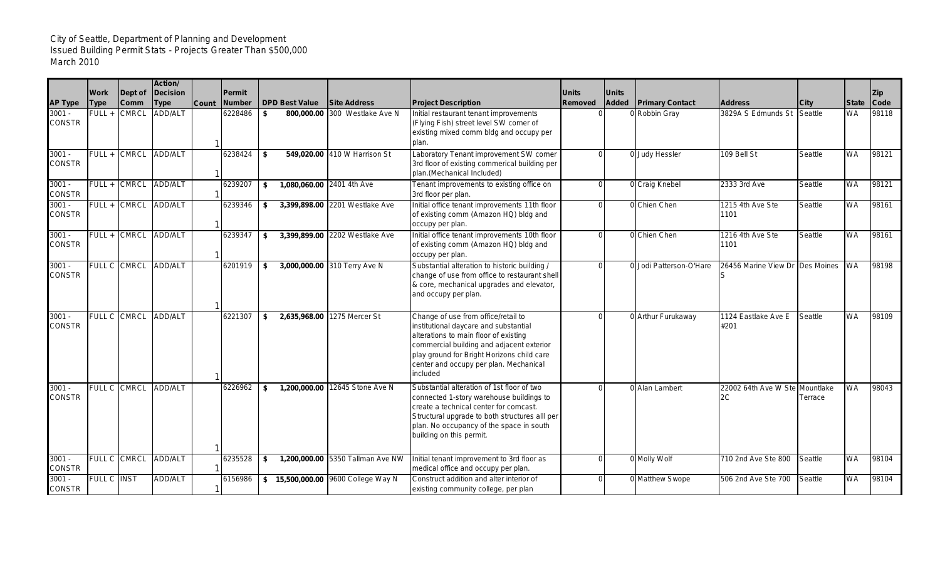## City of Seattle, Department of Planning and Development Issued Building Permit Stats - Projects Greater Than \$500,000 March 2010

|                           |                     |                        | Action/                 |              |                  |                       |                                    |                                                                                                                                                                                                                                                                        |                         |                              |                         |                                      |         |              |                           |
|---------------------------|---------------------|------------------------|-------------------------|--------------|------------------|-----------------------|------------------------------------|------------------------------------------------------------------------------------------------------------------------------------------------------------------------------------------------------------------------------------------------------------------------|-------------------------|------------------------------|-------------------------|--------------------------------------|---------|--------------|---------------------------|
| <b>AP Type</b>            | Work<br><b>Type</b> | Dept of<br><b>Comm</b> | Decision<br><b>Type</b> | <b>Count</b> | Permit<br>Number | <b>DPD Best Value</b> | <b>Site Address</b>                | <b>Project Description</b>                                                                                                                                                                                                                                             | <b>Units</b><br>Removed | <b>Units</b><br><b>Added</b> | <b>Primary Contact</b>  | <b>Address</b>                       | City    | <b>State</b> | <b>Zip</b><br><b>Code</b> |
| $3001 -$<br><b>CONSTR</b> | $FULL +$            | <b>CMRCL</b>           | <b>ADD/ALT</b>          |              | 6228486          | \$                    | 800.000.00 300 Westlake Ave N      | Initial restaurant tenant improvements<br>(Flying Fish) street level SW corner of<br>existing mixed comm bldg and occupy per<br>plan.                                                                                                                                  |                         |                              | Robbin Gray             | 3829A S Edmunds St                   | Seattle | <b>WA</b>    | 98118                     |
| $3001 -$<br><b>CONSTR</b> |                     | FULL + CMRCL           | ADD/ALT                 |              | 6238424          | \$                    | 549,020.00 410 W Harrison St       | Laboratory Tenant improvement SW corner<br>3rd floor of existing commerical building per<br>plan.(Mechanical Included)                                                                                                                                                 |                         |                              | 0 Judy Hessler          | 109 Bell St                          | Seattle | <b>WA</b>    | 98121                     |
| $3001 -$<br><b>CONSTR</b> | FULL +              | <b>CMRCL</b>           | ADD/ALT                 |              | 6239207          | \$                    | 1,080,060.00 2401 4th Ave          | Tenant improvements to existing office on<br>3rd floor per plan.                                                                                                                                                                                                       |                         |                              | 0 Craig Knebel          | 2333 3rd Ave                         | Seattle | <b>WA</b>    | 98121                     |
| $3001 -$<br><b>CONSTR</b> |                     | FULL + CMRCL           | ADD/ALT                 |              | 6239346          | \$                    | 3,399,898.00 2201 Westlake Ave     | Initial office tenant improvements 11th floor<br>of existing comm (Amazon HQ) bldg and<br>occupy per plan.                                                                                                                                                             | $\Omega$                |                              | 0 Chien Chen            | 1215 4th Ave Ste<br>1101             | Seattle | <b>WA</b>    | 98161                     |
| $3001 -$<br><b>CONSTR</b> | FULL +              | <b>CMRCL</b>           | ADD/ALT                 |              | 6239347          | \$                    | 3,399,899.00 2202 Westlake Ave     | Initial office tenant improvements 10th floor<br>of existing comm (Amazon HQ) bldg and<br>occupy per plan.                                                                                                                                                             |                         |                              | 0 Chien Chen            | 1216 4th Ave Ste<br>1101             | Seattle | <b>WA</b>    | 98161                     |
| $3001 -$<br><b>CONSTR</b> |                     | FULL C CMRCL           | <b>ADD/ALT</b>          |              | 6201919          | \$                    | 3,000,000.00 310 Terry Ave N       | Substantial alteration to historic building /<br>change of use from office to restaurant shell<br>& core, mechanical upgrades and elevator,<br>and occupy per plan.                                                                                                    |                         |                              | 0 Jodi Patterson-O'Hare | 26456 Marine View Dr Des Moines      |         | <b>WA</b>    | 98198                     |
| $3001 -$<br><b>CONSTR</b> |                     | FULL C CMRCL           | <b>ADD/ALT</b>          |              | 6221307          | \$                    | 2,635,968.00 1275 Mercer St        | Change of use from office/retail to<br>institutional daycare and substantial<br>alterations to main floor of existing<br>commercial building and adjacent exterior<br>play ground for Bright Horizons child care<br>center and occupy per plan. Mechanical<br>included |                         |                              | 0 Arthur Furukaway      | 1124 Eastlake Ave E<br>#201          | Seattle | <b>WA</b>    | 98109                     |
| $3001 -$<br><b>CONSTR</b> |                     | FULL C CMRCL           | ADD/ALT                 |              | 6226962          | \$                    | 1,200,000.00 12645 Stone Ave N     | Substantial alteration of 1st floor of two<br>connected 1-story warehouse buildings to<br>create a technical center for comcast.<br>Structural upgrade to both structures alll per<br>plan. No occupancy of the space in south<br>building on this permit.             |                         |                              | 0 Alan Lambert          | 22002 64th Ave W Ste Mountlake<br>2C | Terrace | <b>WA</b>    | 98043                     |
| $3001 -$<br><b>CONSTR</b> | FULL C CMRCL        |                        | <b>ADD/ALT</b>          |              | 6235528          | \$                    | 1,200,000.00 5350 Tallman Ave NW   | Initial tenant improvement to 3rd floor as<br>medical office and occupy per plan.                                                                                                                                                                                      |                         |                              | 0 Molly Wolf            | 710 2nd Ave Ste 800                  | Seattle | <b>WA</b>    | 98104                     |
| $3001 -$<br><b>CONSTR</b> | FULL C INST         |                        | ADD/ALT                 |              | 6156986          |                       | \$15,500,000.00 9600 College Way N | Construct addition and alter interior of<br>existing community college, per plan                                                                                                                                                                                       |                         |                              | 0 Matthew Swope         | 506 2nd Ave Ste 700                  | Seattle | <b>WA</b>    | 98104                     |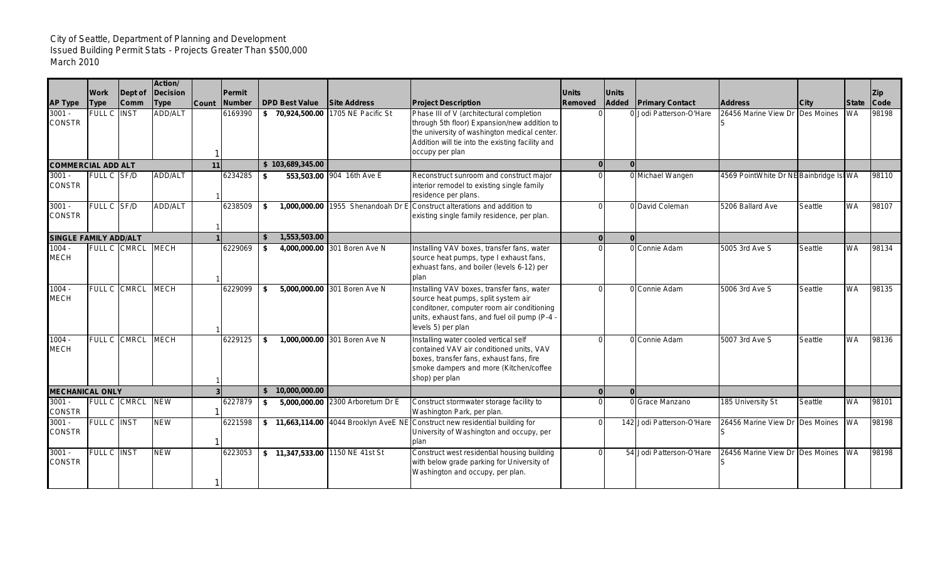## City of Seattle, Department of Planning and Development Issued Building Permit Stats - Projects Greater Than \$500,000 March 2010

|                                 | Work               | Dept of          | Action/<br><b>Decision</b> |              | Permit  |                                 |                                  |                                                                                                                                                                                                                 | <b>Units</b>   | <b>Units</b> |                           |                                        |         |              | IZip.       |
|---------------------------------|--------------------|------------------|----------------------------|--------------|---------|---------------------------------|----------------------------------|-----------------------------------------------------------------------------------------------------------------------------------------------------------------------------------------------------------------|----------------|--------------|---------------------------|----------------------------------------|---------|--------------|-------------|
| <b>AP Type</b>                  | <b>Type</b>        | <b>Comm</b>      | <b>Type</b>                | <b>Count</b> | Number  | <b>DPD Best Value</b>           | <b>Site Address</b>              | <b>Project Description</b>                                                                                                                                                                                      | Removed        | <b>Added</b> | <b>Primary Contact</b>    | <b>Address</b>                         | City    | <b>State</b> | <b>Code</b> |
| $3001 -$<br><b>CONSTR</b>       | <b>FULL C</b>      | <b>INST</b>      | ADD/ALT                    |              | 6169390 | \$70,924,500.00                 | 1705 NE Pacific St               | Phase III of V (architectural completion<br>through 5th floor) Expansion/new addition to<br>the university of washington medical center.<br>Addition will tie into the existing facility and<br>occupy per plan |                |              | 0 Jodi Patterson-O'Hare   | 26456 Marine View Dr Des Moines        |         | <b>WA</b>    | 98198       |
| <b>COMMERCIAL ADD ALT</b><br>11 |                    |                  |                            |              |         | \$103,689,345.00                |                                  |                                                                                                                                                                                                                 | $\overline{0}$ | $\Omega$     |                           |                                        |         |              |             |
| $3001 -$<br><b>CONSTR</b>       | FULL C SF/D        |                  | ADD/ALT                    |              | 6234285 | \$                              | 553,503.00 904 16th Ave E        | Reconstruct sunroom and construct major<br>interior remodel to existing single family<br>residence per plans.                                                                                                   |                |              | 0 Michael Wangen          | 4569 PointWhite Dr NE Bainbridge Is WA |         |              | 98110       |
| $3001 -$<br><b>CONSTR</b>       | FULL C SF/D        |                  | <b>ADD/ALT</b>             |              | 6238509 | \$                              |                                  | 1,000,000.00 1955 Shenandoah Dr E Construct alterations and addition to<br>existing single family residence, per plan.                                                                                          | $\Omega$       |              | 0 David Coleman           | 5206 Ballard Ave                       | Seattle | <b>WA</b>    | 98107       |
| <b>SINGLE FAMILY ADD/ALT</b>    |                    |                  |                            |              |         | 1,553,503.00<br>\$.             |                                  |                                                                                                                                                                                                                 | $\mathbf{0}$   | $\Omega$     |                           |                                        |         |              |             |
| $1004 -$<br><b>MECH</b>         |                    | FULL C CMRCL     | <b>MECH</b>                |              | 6229069 | \$                              | 4,000,000.00 301 Boren Ave N     | Installing VAV boxes, transfer fans, water<br>source heat pumps, type I exhaust fans,<br>exhuast fans, and boiler (levels 6-12) per<br>plan                                                                     |                |              | 0 Connie Adam             | 5005 3rd Ave S                         | Seattle | <b>WA</b>    | 98134       |
| $1004 -$<br><b>MECH</b>         |                    | FULL C CMRCL     | <b>MECH</b>                |              | 6229099 | \$                              | 5,000,000.00 301 Boren Ave N     | Installing VAV boxes, transfer fans, water<br>source heat pumps, split system air<br>conditoner, computer room air conditioning<br>units, exhaust fans, and fuel oil pump (P-4 -<br>levels 5) per plan          |                |              | 0 Connie Adam             | 5006 3rd Ave S                         | Seattle | <b>WA</b>    | 98135       |
| $1004 -$<br><b>MECH</b>         |                    | FULL C CMRCL     | <b>MECH</b>                |              | 6229125 | \$                              | 1,000,000.00 301 Boren Ave N     | Installing water cooled vertical self<br>contained VAV air conditioned units, VAV<br>boxes, transfer fans, exhaust fans, fire<br>smoke dampers and more (Kitchen/coffee<br>shop) per plan                       |                |              | 0 Connie Adam             | 5007 3rd Ave S                         | Seattle | <b>WA</b>    | 98136       |
| <b>MECHANICAL ONLY</b>          |                    |                  |                            |              |         | 10.000.000.00                   |                                  |                                                                                                                                                                                                                 | $\Omega$       |              |                           |                                        |         |              |             |
| $3001 -$<br><b>CONSTR</b>       |                    | FULL C CMRCL NEW |                            |              | 6227879 | \$                              | 5,000,000.00 2300 Arboretum Dr E | Construct stormwater storage facility to<br>Washington Park, per plan.                                                                                                                                          |                |              | 0 Grace Manzano           | 185 University St                      | Seattle | <b>WA</b>    | 98101       |
| $3001 -$<br><b>CONSTR</b>       | <b>FULL C INST</b> |                  | <b>NEW</b>                 |              | 6221598 |                                 |                                  | \$11,663,114.00 4044 Brooklyn AveE NE Construct new residential building for<br>University of Washington and occupy, per<br><b>plan</b>                                                                         | U              |              | 142 Jodi Patterson-O'Hare | 26456 Marine View Dr Des Moines        |         | <b>WA</b>    | 98198       |
| $3001 -$<br><b>CONSTR</b>       | FULL C INST        |                  | <b>NEW</b>                 |              | 6223053 | \$11,347,533.00 1150 NE 41st St |                                  | Construct west residential housing building<br>with below grade parking for University of<br>Washington and occupy, per plan.                                                                                   |                |              | 54 Jodi Patterson-O'Hare  | 26456 Marine View Dr Des Moines        |         | <b>WA</b>    | 98198       |